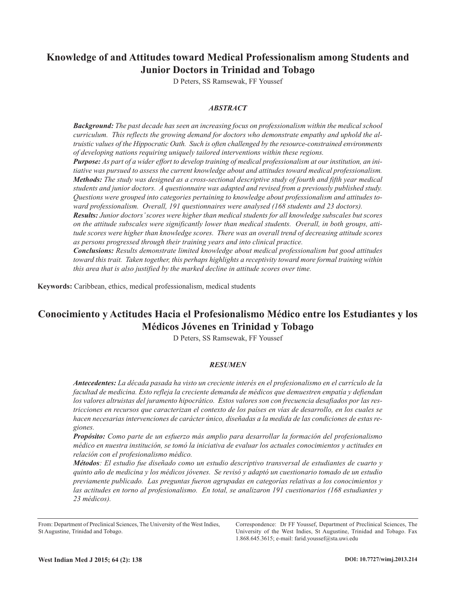# **Knowledge of and Attitudes toward Medical Professionalism among Students and Junior Doctors in Trinidad and Tobago**

D Peters, SS Ramsewak, FF Youssef

# *ABSTRACT*

*Background: The past decade has seen an increasing focus on professionalism within the medical school curriculum. This reflects the growing demand for doctors who demonstrate empathy and uphold the altruistic values of the Hippocratic Oath. Such is often challenged by the resource-constrained environments of developing nations requiring uniquely tailored interventions within these regions.*

Purpose: As part of a wider effort to develop training of medical professionalism at our institution, an ini*tiative was pursued to assess the current knowledge about and attitudes toward medical professionalism. Methods: The study was designed as a cross-sectional descriptive study of fourth and fifth year medical students and junior doctors. A questionnaire was adapted and revised from a previously published study. Questions were grouped into categories pertaining to knowledge about professionalism and attitudes toward professionalism. Overall, 191 questionnaires were analysed (168 students and 23 doctors).*

*Results: Junior doctors'scores were higher than medical students for all knowledge subscales but scores on the attitude subscales were significantly lower than medical students. Overall, in both groups, attitude scores were higher than knowledge scores. There was an overall trend of decreasing attitude scores as persons progressed through their training years and into clinical practice.*

*Conclusions: Results demonstrate limited knowledge about medical professionalism but good attitudes toward this trait. Taken together, this perhaps highlights a receptivity toward more formal training within this area that is also justified by the marked decline in attitude scores over time.*

**Keywords:** Caribbean, ethics, medical professionalism, medical students

# **Conocimiento y Actitudes Hacia el Profesionalismo Médico entre los Estudiantes y los Médicos Jóvenes en Trinidad y Tobago**

D Peters, SS Ramsewak, FF Youssef

#### *RESUMEN*

*Antecedentes: La década pasada ha visto un creciente interés en el profesionalismo en el currículo de la facultad de medicina. Esto refleja la creciente demanda de médicos que demuestren empatía y defiendan los valores altruistas del juramento hipocrático. Estos valores son con frecuencia desafiados por las res*tricciones en recursos que caracterizan el contexto de los países en vías de desarrollo, en los cuales se *hacen necesarias intervenciones de carácter único, diseñadas a la medida de las condiciones de estas regiones.*

*Propósito: Como parte de un esfuerzo más amplio para desarrollar la formación del profesionalismo médico en nuestra institución, se tomó la iniciativa de evaluar los actuales conocimientos y actitudes en relación con el profesionalismo médico.*

*Métodos: El estudio fue diseñado como un estudio descriptivo transversal de estudiantes de cuarto y* quinto año de medicina y los médicos jóvenes. Se revisó y adaptó un cuestionario tomado de un estudio *previamente publicado. Las preguntas fueron agrupadas en categorías relativas a los conocimientos y las actitudes en torno al profesionalismo. En total, se analizaron 191 cuestionarios (168 estudiantes y 23 médicos).*

Correspondence: Dr FF Youssef, Department of Preclinical Sciences, The University of the West Indies, St Augustine, Trinidad and Tobago. Fax 1.868.645.3615; e-mail: farid.youssef@sta.uwi.edu

From: Department of Preclinical Sciences, The University of the West Indies, St Augustine, Trinidad and Tobago.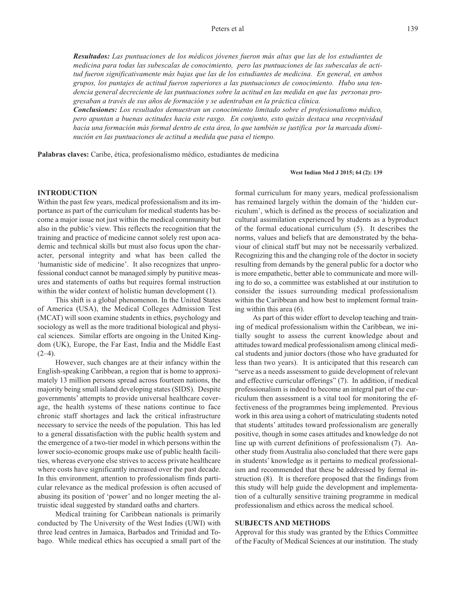*Resultados: Las puntuaciones de los médicos jóvenes fueron más altas que las de los estudiantes de medicina para todas las subescalas de conocimiento, pero las puntuaciones de las subescalas de actitud fueron significativamente más bajas que las de los estudiantes de medicina. En general, en ambos grupos, los puntajes de actitud fueron superiores a las puntuaciones de conocimiento. Hubo una tendencia general decreciente de las puntuaciones sobre la actitud en las medida en que las personas progresaban a través de sus años de formación y se adentraban en la práctica clínica.*

*Conclusiones: Los resultados demuestran un conocimiento limitado sobre el profesionalismo médico, pero apuntan a buenas actitudes hacia este rasgo. En conjunto, esto quizás destaca una receptividad* hacia una formación más formal dentro de esta área, lo que también se justifica por la marcada dismi*nución en las puntuaciones de actitud a medida que pasa el tiempo.*

**Palabras claves:** Caribe, ética, profesionalismo médico, estudiantes de medicina

#### **West Indian Med J 2015; 64 (2): 139**

# **INTRODUCTION**

Within the past few years, medical professionalism and its importance as part of the curriculum for medical students has become a major issue not just within the medical community but also in the public's view. This reflects the recognition that the training and practice of medicine cannot solely rest upon academic and technical skills but must also focus upon the character, personal integrity and what has been called the 'humanistic side of medicine'. It also recognizes that unprofessional conduct cannot be managed simply by punitive measures and statements of oaths but requires formal instruction within the wider context of holistic human development (1).

This shift is a global phenomenon. In the United States of America (USA), the Medical Colleges Admission Test (MCAT) will soon examine students in ethics, psychology and sociology as well as the more traditional biological and physical sciences. Similar efforts are ongoing in the United Kingdom (UK), Europe, the Far East, India and the Middle East  $(2-4)$ .

However, such changes are at their infancy within the English-speaking Caribbean, a region that is home to approximately 13 million persons spread across fourteen nations, the majority being small island developing states (SIDS). Despite governments' attempts to provide universal healthcare coverage, the health systems of these nations continue to face chronic staff shortages and lack the critical infrastructure necessary to service the needs of the population. This has led to a general dissatisfaction with the public health system and the emergence of a two-tier model in which persons within the lower socio-economic groups make use of public health facilities, whereas everyone else strives to access private healthcare where costs have significantly increased over the past decade. In this environment, attention to professionalism finds particular relevance as the medical profession is often accused of abusing its position of 'power' and no longer meeting the altruistic ideal suggested by standard oaths and charters.

Medical training for Caribbean nationals is primarily conducted by The University of the West Indies (UWI) with three lead centres in Jamaica, Barbados and Trinidad and Tobago. While medical ethics has occupied a small part of the

formal curriculum for many years, medical professionalism has remained largely within the domain of the 'hidden curriculum', which is defined as the process of socialization and cultural assimilation experienced by students as a byproduct of the formal educational curriculum (5). It describes the norms, values and beliefs that are demonstrated by the behaviour of clinical staff but may not be necessarily verbalized. Recognizing this and the changing role of the doctor in society resulting from demands by the general public for a doctor who is more empathetic, better able to communicate and more willing to do so, a committee was established at our institution to consider the issues surrounding medical professionalism within the Caribbean and how best to implement formal training within this area (6).

As part of this wider effort to develop teaching and training of medical professionalism within the Caribbean, we initially sought to assess the current knowledge about and attitudes toward medical professionalism among clinical medical students and junior doctors (those who have graduated for less than two years). It is anticipated that this research can "serve as a needs assessment to guide development of relevant and effective curricular offerings" (7). In addition, if medical professionalism is indeed to become an integral part of the curriculum then assessment is a vital tool for monitoring the effectiveness of the programmes being implemented. Previous work in this area using a cohort of matriculating students noted that students' attitudes toward professionalism are generally positive, though in some cases attitudes and knowledge do not line up with current definitions of professionalism (7). Another study from Australia also concluded that there were gaps in students' knowledge as it pertains to medical professionalism and recommended that these be addressed by formal instruction (8). It is therefore proposed that the findings from this study will help guide the development and implementation of a culturally sensitive training programme in medical professionalism and ethics across the medical school.

# **SUBJECTS AND METHODS**

Approval for this study was granted by the Ethics Committee of the Faculty of Medical Sciences at our institution. The study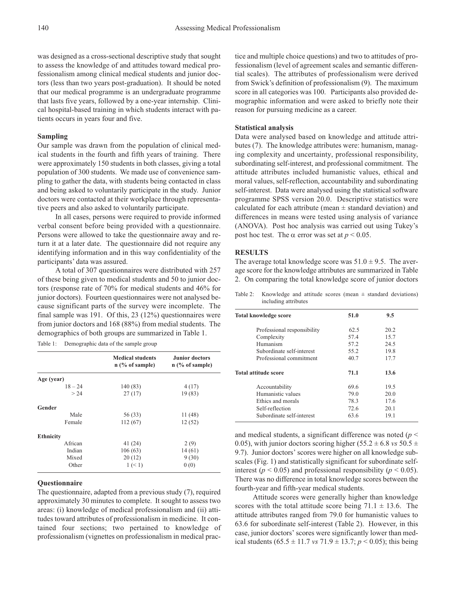was designed as a cross-sectional descriptive study that sought to assess the knowledge of and attitudes toward medical professionalism among clinical medical students and junior doctors (less than two years post-graduation). It should be noted that our medical programme is an undergraduate programme that lasts five years, followed by a one-year internship. Clinical hospital-based training in which students interact with patients occurs in years four and five.

#### **Sampling**

Our sample was drawn from the population of clinical medical students in the fourth and fifth years of training. There were approximately 150 students in both classes, giving a total population of 300 students. We made use of convenience sampling to gather the data, with students being contacted in class and being asked to voluntarily participate in the study. Junior doctors were contacted at their workplace through representative peers and also asked to voluntarily participate.

In all cases, persons were required to provide informed verbal consent before being provided with a questionnaire. Persons were allowed to take the questionnaire away and return it at a later date. The questionnaire did not require any identifying information and in this way confidentiality of the participants' data was assured.

A total of 307 questionnaires were distributed with 257 of these being given to medical students and 50 to junior doctors (response rate of 70% for medical students and 46% for junior doctors). Fourteen questionnaires were not analysed because significant parts of the survey were incomplete. The final sample was 191. Of this, 23 (12%) questionnaires were from junior doctors and 168 (88%) from medial students. The demographics of both groups are summarized in Table 1.

| Table 1:<br>Demographic data of the sample group |  |
|--------------------------------------------------|--|
|--------------------------------------------------|--|

|                  | <b>Medical students</b><br>$n$ (% of sample) | Junior doctors<br>$n$ (% of sample) |
|------------------|----------------------------------------------|-------------------------------------|
| Age (year)       |                                              |                                     |
| $18 - 24$        | 140 (83)                                     | 4(17)                               |
| > 24             | 27(17)                                       | 19 (83)                             |
| Gender           |                                              |                                     |
| Male             | 56 (33)                                      | 11(48)                              |
| Female           | 112(67)                                      | 12(52)                              |
| <b>Ethnicity</b> |                                              |                                     |
| African          | 41 (24)                                      | 2(9)                                |
| Indian           | 106(63)                                      | 14(61)                              |
| Mixed            | 20(12)                                       | 9(30)                               |
| Other            | 1 (< 1)                                      | 0(0)                                |

#### **Questionnaire**

The questionnaire, adapted from a previous study (7), required approximately 30 minutes to complete. It sought to assess two areas: (i) knowledge of medical professionalism and (ii) attitudes toward attributes of professionalism in medicine. It contained four sections; two pertained to knowledge of professionalism (vignettes on professionalism in medical prac-

tice and multiple choice questions) and two to attitudes of professionalism (level of agreement scales and semantic differential scales). The attributes of professionalism were derived from Swick's definition of professionalism (9). The maximum score in all categories was 100. Participants also provided demographic information and were asked to briefly note their reason for pursuing medicine as a career.

### **Statistical analysis**

Data were analysed based on knowledge and attitude attributes (7). The knowledge attributes were: humanism, managing complexity and uncertainty, professional responsibility, subordinating self-interest, and professional commitment. The attitude attributes included humanistic values, ethical and moral values, self-reflection, accountability and subordinating self-interest. Data were analysed using the statistical software programme SPSS version 20.0. Descriptive statistics were calculated for each attribute (mean  $\pm$  standard deviation) and differences in means were tested using analysis of variance (ANOVA). Post hoc analysis was carried out using Tukey's post hoc test. The  $\alpha$  error was set at  $p < 0.05$ .

### **RESULTS**

The average total knowledge score was  $51.0 \pm 9.5$ . The average score for the knowledge attributes are summarized in Table 2. On comparing the total knowledge score of junior doctors

Table 2: Knowledge and attitude scores (mean  $\pm$  standard deviations) including attributes

| <b>Total knowledge score</b> | 51.0 | 9.5  |  |
|------------------------------|------|------|--|
| Professional responsibility  | 62.5 | 20.2 |  |
| Complexity                   | 57.4 | 15.7 |  |
| Humanism                     | 57.2 | 24.5 |  |
| Subordinate self-interest    | 55.2 | 19.8 |  |
| Professional commitment      | 40.7 | 17.7 |  |
| Total attitude score         | 71.1 | 13.6 |  |
| Accountability               | 69.6 | 19.5 |  |
| Humanistic values            | 79.0 | 20.0 |  |
| Ethics and morals            | 78.3 | 17.6 |  |
| Self-reflection              | 72.6 | 20.1 |  |
| Subordinate self-interest    | 63.6 | 19.1 |  |

and medical students, a significant difference was noted (*p* < 0.05), with junior doctors scoring higher ( $55.2 \pm 6.8$  *vs*  $50.5 \pm 1$ 9.7). Junior doctors' scores were higher on all knowledge subscales (Fig. 1) and statistically significant for subordinate selfinterest ( $p < 0.05$ ) and professional responsibility ( $p < 0.05$ ). There was no difference in total knowledge scores between the fourth-year and fifth-year medical students.

Attitude scores were generally higher than knowledge scores with the total attitude score being  $71.1 \pm 13.6$ . The attitude attributes ranged from 79.0 for humanistic values to 63.6 for subordinate self-interest (Table 2). However, in this case, junior doctors' scores were significantly lower than medical students (65.5  $\pm$  11.7 *vs* 71.9  $\pm$  13.7; *p* < 0.05); this being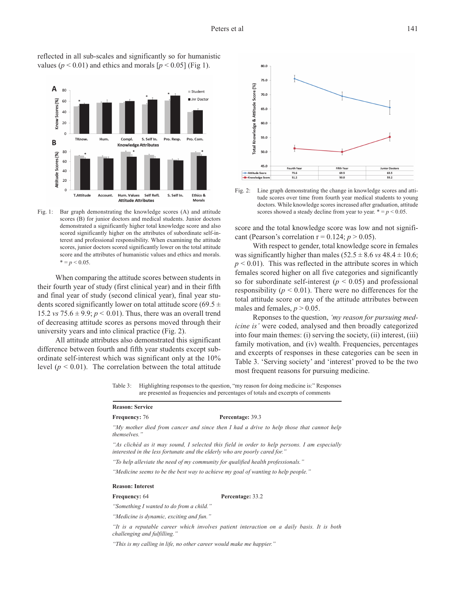

reflected in all sub-scales and significantly so for humanistic values ( $p < 0.01$ ) and ethics and morals  $[p < 0.05]$  (Fig 1).

Fig. 1: Bar graph demonstrating the knowledge scores (A) and attitude scores (B) for junior doctors and medical students. Junior doctors demonstrated a significantly higher total knowledge score and also scored significantly higher on the attributes of subordinate self-interest and professional responsibility. When examining the attitude scores, junior doctors scored significantly lower on the total attitude score and the attributes of humanistic values and ethics and morals.  $* = p < 0.05$ .

When comparing the attitude scores between students in their fourth year of study (first clinical year) and in their fifth and final year of study (second clinical year), final year students scored significantly lower on total attitude score (69.5  $\pm$ 15.2 *vs*  $75.6 \pm 9.9$ ;  $p < 0.01$ ). Thus, there was an overall trend of decreasing attitude scores as persons moved through their university years and into clinical practice (Fig. 2).

All attitude attributes also demonstrated this significant difference between fourth and fifth year students except subordinate self-interest which was significant only at the 10% level  $(p < 0.01)$ . The correlation between the total attitude



Fig. 2: Line graph demonstrating the change in knowledge scores and attitude scores over time from fourth year medical students to young doctors. While knowledge scores increased after graduation, attitude scores showed a steady decline from year to year.  $* = p < 0.05$ .

score and the total knowledge score was low and not significant (Pearson's correlation  $r = 0.124$ ;  $p > 0.05$ ).

With respect to gender, total knowledge score in females was significantly higher than males  $(52.5 \pm 8.6 \text{ vs } 48.4 \pm 10.6;$  $p \leq 0.01$ ). This was reflected in the attribute scores in which females scored higher on all five categories and significantly so for subordinate self-interest ( $p < 0.05$ ) and professional responsibility ( $p < 0.01$ ). There were no differences for the total attitude score or any of the attitude attributes between males and females,  $p > 0.05$ .

Reponses to the question, *'my reason for pursuing medicine is'* were coded, analysed and then broadly categorized into four main themes: (i) serving the society, (ii) interest, (iii) family motivation, and (iv) wealth. Frequencies, percentages and excerpts of responses in these categories can be seen in Table 3. 'Serving society' and 'interest' proved to be the two most frequent reasons for pursuing medicine.

Table 3: Highlighting responses to the question, "my reason for doing medicine is:" Responses are presented as frequencies and percentages of totals and excerpts of comments

| <b>Reason: Service</b>                   |                                                                                                                                                                             |
|------------------------------------------|-----------------------------------------------------------------------------------------------------------------------------------------------------------------------------|
| <b>Frequency: 76</b>                     | Percentage: 39.3                                                                                                                                                            |
| themselves."                             | "My mother died from cancer and since then I had a drive to help those that cannot help                                                                                     |
|                                          | "As clichéd as it may sound, I selected this field in order to help persons. I am especially<br>interested in the less fortunate and the elderly who are poorly cared for." |
|                                          | "To help alleviate the need of my community for qualified health professionals."                                                                                            |
|                                          | "Medicine seems to be the best way to achieve my goal of wanting to help people."                                                                                           |
| <b>Reason: Interest</b>                  |                                                                                                                                                                             |
| <b>Frequency: 64</b>                     | Percentage: 33.2                                                                                                                                                            |
| "Something I wanted to do from a child." |                                                                                                                                                                             |
| "Medicine is dynamic, exciting and fun." |                                                                                                                                                                             |

*"It is a reputable career which involves patient interaction on a daily basis. It is both challenging and fulfilling."*

*"This is my calling in life, no other career would make me happier."*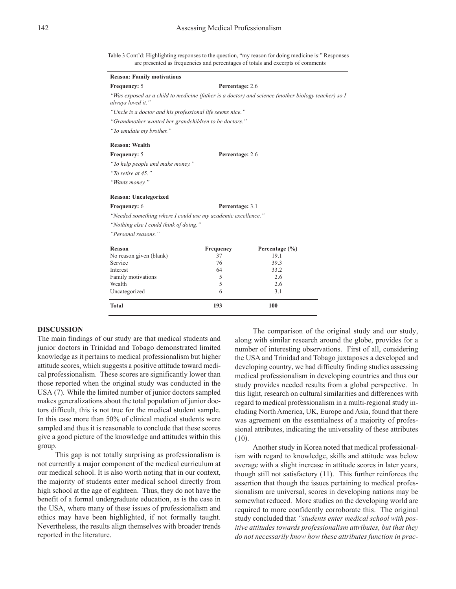Table 3 Cont'd: Highlighting responses to the question, "my reason for doing medicine is:" Responses are presented as frequencies and percentages of totals and excerpts of comments

| <b>Reason: Family motivations</b>                            |                 |                                                                                                    |
|--------------------------------------------------------------|-----------------|----------------------------------------------------------------------------------------------------|
| Frequency: 5                                                 | Percentage: 2.6 |                                                                                                    |
| always loved it."                                            |                 | "Was exposed as a child to medicine (father is a doctor) and science (mother biology teacher) so l |
| "Uncle is a doctor and his professional life seems nice."    |                 |                                                                                                    |
| "Grandmother wanted her grandchildren to be doctors."        |                 |                                                                                                    |
| "To emulate my brother."                                     |                 |                                                                                                    |
| <b>Reason: Wealth</b>                                        |                 |                                                                                                    |
| Frequency: 5                                                 | Percentage: 2.6 |                                                                                                    |
| "To help people and make money."                             |                 |                                                                                                    |
| "To retire at 45."                                           |                 |                                                                                                    |
| "Wants money."                                               |                 |                                                                                                    |
| <b>Reason: Uncategorized</b>                                 |                 |                                                                                                    |
| <b>Frequency:</b> 6                                          | Percentage: 3.1 |                                                                                                    |
| "Needed something where I could use my academic excellence." |                 |                                                                                                    |
| "Nothing else I could think of doing."                       |                 |                                                                                                    |
| "Personal reasons."                                          |                 |                                                                                                    |
| Reason                                                       | Frequency       | Percentage $(\% )$                                                                                 |
| No reason given (blank)                                      | 37              | 19.1                                                                                               |
| Service                                                      | 76              | 39.3                                                                                               |
| Interest                                                     | 64              | 33.2                                                                                               |
| Family motivations                                           | 5               | 2.6                                                                                                |
| Wealth                                                       | 5               | 2.6                                                                                                |

Uncategorized 6 3.1 **Total 193 100**

# **DISCUSSION**

The main findings of our study are that medical students and junior doctors in Trinidad and Tobago demonstrated limited knowledge as it pertains to medical professionalism but higher attitude scores, which suggests a positive attitude toward medical professionalism. These scores are significantly lower than those reported when the original study was conducted in the USA (7). While the limited number of junior doctors sampled makes generalizations about the total population of junior doctors difficult, this is not true for the medical student sample. In this case more than 50% of clinical medical students were sampled and thus it is reasonable to conclude that these scores give a good picture of the knowledge and attitudes within this group.

This gap is not totally surprising as professionalism is not currently a major component of the medical curriculum at our medical school. It is also worth noting that in our context, the majority of students enter medical school directly from high school at the age of eighteen. Thus, they do not have the benefit of a formal undergraduate education, as is the case in the USA, where many of these issues of professionalism and ethics may have been highlighted, if not formally taught. Nevertheless, the results align themselves with broader trends reported in the literature.

The comparison of the original study and our study, along with similar research around the globe, provides for a number of interesting observations. First of all, considering the USA and Trinidad and Tobago juxtaposes a developed and developing country, we had difficulty finding studies assessing medical professionalism in developing countries and thus our study provides needed results from a global perspective. In this light, research on cultural similarities and differences with regard to medical professionalism in a multi-regional study including North America, UK, Europe and Asia, found that there was agreement on the essentialness of a majority of professional attributes, indicating the universality of these attributes (10).

Another study in Korea noted that medical professionalism with regard to knowledge, skills and attitude was below average with a slight increase in attitude scores in later years, though still not satisfactory (11). This further reinforces the assertion that though the issues pertaining to medical professionalism are universal, scores in developing nations may be somewhat reduced. More studies on the developing world are required to more confidently corroborate this. The original study concluded that *"students enter medical school with positive attitudes towards professionalism attributes, but that they do not necessarily know how these attributes function in prac-*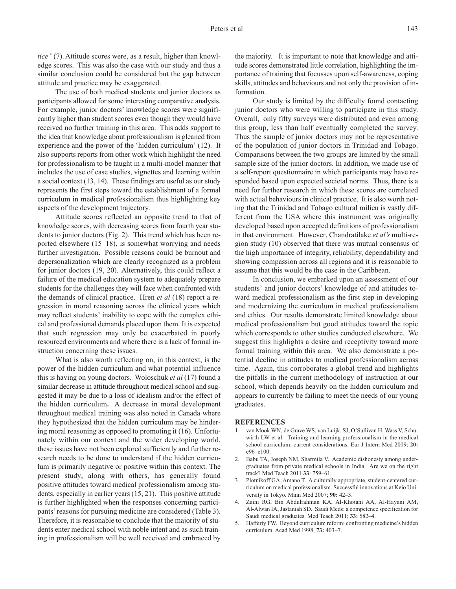*tice"* (7). Attitude scores were, as a result, higher than knowledge scores. This was also the case with our study and thus a similar conclusion could be considered but the gap between attitude and practice may be exaggerated.

The use of both medical students and junior doctors as participants allowed for some interesting comparative analysis. For example, junior doctors' knowledge scores were significantly higher than student scores even though they would have received no further training in this area. This adds support to the idea that knowledge about professionalism is gleaned from experience and the power of the 'hidden curriculum' (12). It also supports reports from other work which highlight the need for professionalism to be taught in a multi-model manner that includes the use of case studies, vignettes and learning within a social context (13, 14). These findings are useful as our study represents the first steps toward the establishment of a formal curriculum in medical professionalism thus highlighting key aspects of the development trajectory.

Attitude scores reflected an opposite trend to that of knowledge scores, with decreasing scores from fourth year students to junior doctors (Fig. 2). This trend which has been reported elsewhere (15–18), is somewhat worrying and needs further investigation. Possible reasons could be burnout and depersonalization which are clearly recognized as a problem for junior doctors (19, 20). Alternatively, this could reflect a failure of the medical education system to adequately prepare students for the challenges they will face when confronted with the demands of clinical practice. Hren *et al* (18) report a regression in moral reasoning across the clinical years which may reflect students' inability to cope with the complex ethical and professional demands placed upon them. It is expected that such regression may only be exacerbated in poorly resourced environments and where there is a lack of formal instruction concerning these issues.

What is also worth reflecting on, in this context, is the power of the hidden curriculum and what potential influence this is having on young doctors. Woloschuk *et al* (17) found a similar decrease in attitude throughout medical school and suggested it may be due to a loss of idealism and/or the effect of the hidden curriculum**.** A decrease in moral development throughout medical training was also noted in Canada where they hypothesized that the hidden curriculum may be hindering moral reasoning as opposed to promoting it (16). Unfortunately within our context and the wider developing world, these issues have not been explored sufficiently and further research needs to be done to understand if the hidden curriculum is primarily negative or positive within this context. The present study, along with others, has generally found positive attitudes toward medical professionalism among students, especially in earlier years (15, 21). This positive attitude is further highlighted when the responses concerning participants'reasons for pursuing medicine are considered (Table 3). Therefore, it is reasonable to conclude that the majority of students enter medical school with noble intent and as such training in professionalism will be well received and embraced by the majority. It is important to note that knowledge and attitude scores demonstrated little correlation, highlighting the importance of training that focusses upon self-awareness, coping skills, attitudes and behaviours and not only the provision of information.

Our study is limited by the difficulty found contacting junior doctors who were willing to participate in this study. Overall, only fifty surveys were distributed and even among this group, less than half eventually completed the survey. Thus the sample of junior doctors may not be representative of the population of junior doctors in Trinidad and Tobago. Comparisons between the two groups are limited by the small sample size of the junior doctors. In addition, we made use of a self-report questionnaire in which participants may have responded based upon expected societal norms. Thus, there is a need for further research in which these scores are correlated with actual behaviours in clinical practice. It is also worth noting that the Trinidad and Tobago cultural milieu is vastly different from the USA where this instrument was originally developed based upon accepted definitions of professionalism in that environment. However, Chandratilake *et al's* multi-region study (10) observed that there was mutual consensus of the high importance of integrity, reliability, dependability and showing compassion across all regions and it is reasonable to assume that this would be the case in the Caribbean.

In conclusion, we embarked upon an assessment of our students' and junior doctors' knowledge of and attitudes toward medical professionalism as the first step in developing and modernizing the curriculum in medical professionalism and ethics. Our results demonstrate limited knowledge about medical professionalism but good attitudes toward the topic which corresponds to other studies conducted elsewhere. We suggest this highlights a desire and receptivity toward more formal training within this area. We also demonstrate a potential decline in attitudes to medical professionalism across time. Again, this corroborates a global trend and highlights the pitfalls in the current methodology of instruction at our school, which depends heavily on the hidden curriculum and appears to currently be failing to meet the needs of our young graduates.

### **REFERENCES**

- 1. van Mook WN, de Grave WS, van Luijk, SJ, O'Sullivan H, Wass V, Schuwirth LW et al. Training and learning professionalism in the medical school curriculum: current considerations. Eur J Intern Med 2009; **20:** e96–e100.
- 2. Babu TA, Joseph NM, Sharmila V. Academic dishonesty among undergraduates from private medical schools in India. Are we on the right track? Med Teach 2011 **33**: 759–61.
- 3. Plotnikoff GA, Amano T. A culturally appropriate, student-centered curriculum on medical professionalism. Successful innovations at Keio University in Tokyo. Minn Med 2007; **90:** 42–3.
- 4. Zaini RG, Bin Abdulrahman KA, Al-Khotani AA, Al-Hayani AM, Al-Alwan IA, Jastaniah SD. Saudi Meds: a competence specification for Saudi medical graduates. Med Teach 2011; **33:** 582–4.
- 5. Hafferty FW. Beyond curriculum reform: confronting medicine's hidden curriculum. Acad Med 1998, **73:** 403–7.